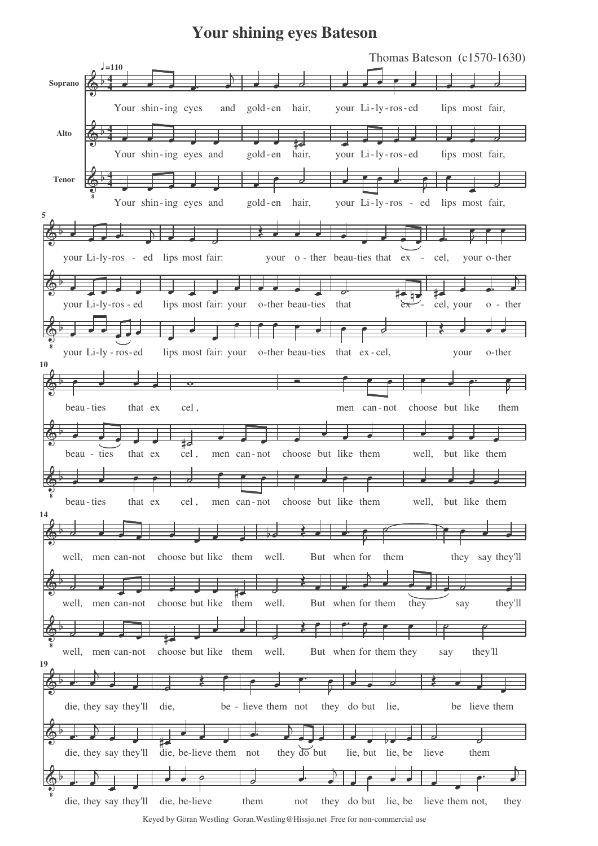## **Your shining eyes Bateson**



Keyed by Göran Westling Goran.Westling@Hissjo.net Free for non-commercial use